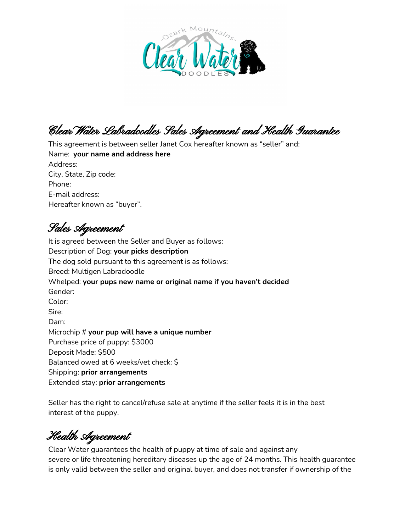

Clear Water Labradoodles Sales Agreement and Health Guarantee

This agreement is between seller Janet Cox hereafter known as "seller" and: Name: **your name and address here** Address: City, State, Zip code: Phone: E-mail address: Hereafter known as "buyer".

Sales Agreement

It is agreed between the Seller and Buyer as follows: Description of Dog: **your picks description** The dog sold pursuant to this agreement is as follows: Breed: Multigen Labradoodle Whelped: **your pups new name or original name if you haven't decided** Gender: Color: Sire: Dam: Microchip # **your pup will have a unique number** Purchase price of puppy: \$3000 Deposit Made: \$500 Balanced owed at 6 weeks/vet check: \$ Shipping: **prior arrangements** Extended stay: **prior arrangements**

Seller has the right to cancel/refuse sale at anytime if the seller feels it is in the best interest of the puppy.

Health Agreement

Clear Water guarantees the health of puppy at time of sale and against any severe or life threatening hereditary diseases up the age of 24 months. This health guarantee is only valid between the seller and original buyer, and does not transfer if ownership of the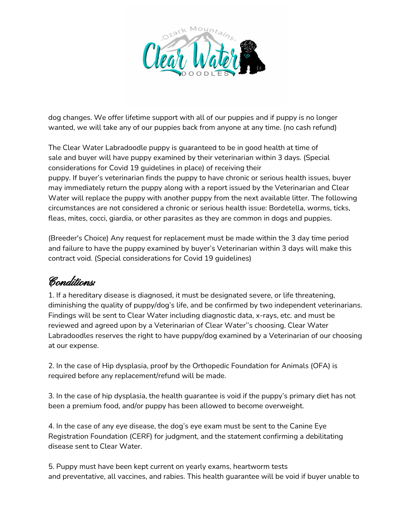

dog changes. We offer lifetime support with all of our puppies and if puppy is no longer wanted, we will take any of our puppies back from anyone at any time. (no cash refund)

The Clear Water Labradoodle puppy is guaranteed to be in good health at time of sale and buyer will have puppy examined by their veterinarian within 3 days. (Special considerations for Covid 19 guidelines in place) of receiving their puppy. If buyer's veterinarian finds the puppy to have chronic or serious health issues, buyer may immediately return the puppy along with a report issued by the Veterinarian and Clear Water will replace the puppy with another puppy from the next available litter. The following circumstances are not considered a chronic or serious health issue: Bordetella, worms, ticks, fleas, mites, cocci, giardia, or other parasites as they are common in dogs and puppies.

(Breeder's Choice) Any request for replacement must be made within the 3 day time period and failure to have the puppy examined by buyer's Veterinarian within 3 days will make this contract void. (Special considerations for Covid 19 guidelines)

## Conditions:

1. If a hereditary disease is diagnosed, it must be designated severe, or life threatening, diminishing the quality of puppy/dog's life, and be confirmed by two independent veterinarians. Findings will be sent to Clear Water including diagnostic data, x-rays, etc. and must be reviewed and agreed upon by a Veterinarian of Clear Water''s choosing. Clear Water Labradoodles reserves the right to have puppy/dog examined by a Veterinarian of our choosing at our expense.

2. In the case of Hip dysplasia, proof by the Orthopedic Foundation for Animals (OFA) is required before any replacement/refund will be made.

3. In the case of hip dysplasia, the health guarantee is void if the puppy's primary diet has not been a premium food, and/or puppy has been allowed to become overweight.

4. In the case of any eye disease, the dog's eye exam must be sent to the Canine Eye Registration Foundation (CERF) for judgment, and the statement confirming a debilitating disease sent to Clear Water.

5. Puppy must have been kept current on yearly exams, heartworm tests and preventative, all vaccines, and rabies. This health guarantee will be void if buyer unable to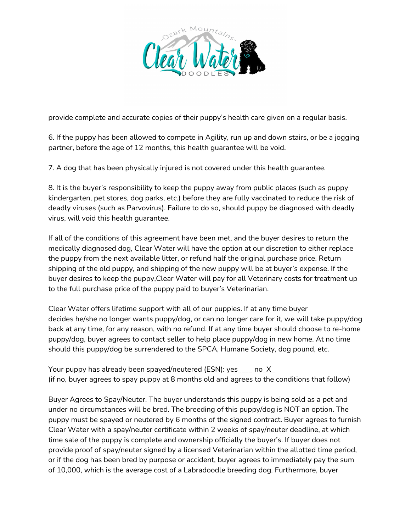

provide complete and accurate copies of their puppy's health care given on a regular basis.

6. If the puppy has been allowed to compete in Agility, run up and down stairs, or be a jogging partner, before the age of 12 months, this health guarantee will be void.

7. A dog that has been physically injured is not covered under this health guarantee.

8. It is the buyer's responsibility to keep the puppy away from public places (such as puppy kindergarten, pet stores, dog parks, etc.) before they are fully vaccinated to reduce the risk of deadly viruses (such as Parvovirus). Failure to do so, should puppy be diagnosed with deadly virus, will void this health guarantee.

If all of the conditions of this agreement have been met, and the buyer desires to return the medically diagnosed dog, Clear Water will have the option at our discretion to either replace the puppy from the next available litter, or refund half the original purchase price. Return shipping of the old puppy, and shipping of the new puppy will be at buyer's expense. If the buyer desires to keep the puppy,Clear Water will pay for all Veterinary costs for treatment up to the full purchase price of the puppy paid to buyer's Veterinarian.

Clear Water offers lifetime support with all of our puppies. If at any time buyer decides he/she no longer wants puppy/dog, or can no longer care for it, we will take puppy/dog back at any time, for any reason, with no refund. If at any time buyer should choose to re-home puppy/dog, buyer agrees to contact seller to help place puppy/dog in new home. At no time should this puppy/dog be surrendered to the SPCA, Humane Society, dog pound, etc.

Your puppy has already been spayed/neutered (ESN): yes\_\_\_\_ no\_X\_ (if no, buyer agrees to spay puppy at 8 months old and agrees to the conditions that follow)

Buyer Agrees to Spay/Neuter. The buyer understands this puppy is being sold as a pet and under no circumstances will be bred. The breeding of this puppy/dog is NOT an option. The puppy must be spayed or neutered by 6 months of the signed contract. Buyer agrees to furnish Clear Water with a spay/neuter certificate within 2 weeks of spay/neuter deadline, at which time sale of the puppy is complete and ownership officially the buyer's. If buyer does not provide proof of spay/neuter signed by a licensed Veterinarian within the allotted time period, or if the dog has been bred by purpose or accident, buyer agrees to immediately pay the sum of 10,000, which is the average cost of a Labradoodle breeding dog. Furthermore, buyer